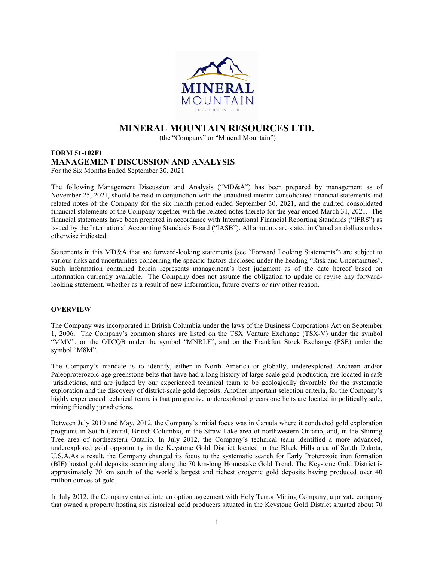

# MINERAL MOUNTAIN RESOURCES LTD.

(the "Company" or "Mineral Mountain")

# FORM 51-102F1 MANAGEMENT DISCUSSION AND ANALYSIS For the Six Months Ended September 30, 2021

The following Management Discussion and Analysis ("MD&A") has been prepared by management as of November 25, 2021, should be read in conjunction with the unaudited interim consolidated financial statements and related notes of the Company for the six month period ended September 30, 2021, and the audited consolidated financial statements of the Company together with the related notes thereto for the year ended March 31, 2021. The financial statements have been prepared in accordance with International Financial Reporting Standards ("IFRS") as issued by the International Accounting Standards Board ("IASB"). All amounts are stated in Canadian dollars unless otherwise indicated.

Statements in this MD&A that are forward-looking statements (see "Forward Looking Statements") are subject to various risks and uncertainties concerning the specific factors disclosed under the heading "Risk and Uncertainties". Such information contained herein represents management's best judgment as of the date hereof based on information currently available. The Company does not assume the obligation to update or revise any forwardlooking statement, whether as a result of new information, future events or any other reason.

# **OVERVIEW**

The Company was incorporated in British Columbia under the laws of the Business Corporations Act on September 1, 2006. The Company's common shares are listed on the TSX Venture Exchange (TSX-V) under the symbol "MMV", on the OTCQB under the symbol "MNRLF", and on the Frankfurt Stock Exchange (FSE) under the symbol "M8M".

The Company's mandate is to identify, either in North America or globally, underexplored Archean and/or Paleoproterozoic-age greenstone belts that have had a long history of large-scale gold production, are located in safe jurisdictions, and are judged by our experienced technical team to be geologically favorable for the systematic exploration and the discovery of district-scale gold deposits. Another important selection criteria, for the Company's highly experienced technical team, is that prospective underexplored greenstone belts are located in politically safe, mining friendly jurisdictions.

Between July 2010 and May, 2012, the Company's initial focus was in Canada where it conducted gold exploration programs in South Central, British Columbia, in the Straw Lake area of northwestern Ontario, and, in the Shining Tree area of northeastern Ontario. In July 2012, the Company's technical team identified a more advanced, underexplored gold opportunity in the Keystone Gold District located in the Black Hills area of South Dakota, U.S.A.As a result, the Company changed its focus to the systematic search for Early Proterozoic iron formation (BIF) hosted gold deposits occurring along the 70 km-long Homestake Gold Trend. The Keystone Gold District is approximately 70 km south of the world's largest and richest orogenic gold deposits having produced over 40 million ounces of gold.

In July 2012, the Company entered into an option agreement with Holy Terror Mining Company, a private company that owned a property hosting six historical gold producers situated in the Keystone Gold District situated about 70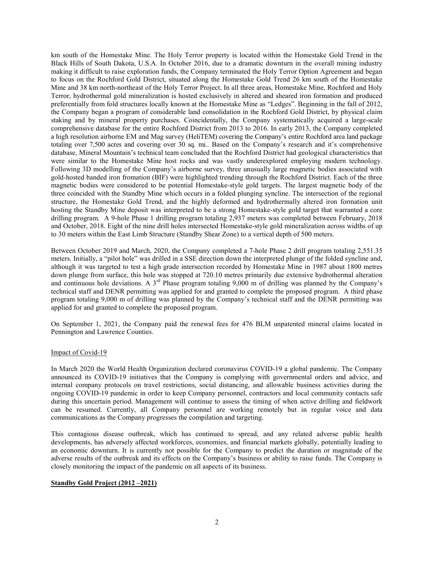km south of the Homestake Mine. The Holy Terror property is located within the Homestake Gold Trend in the Black Hills of South Dakota, U.S.A. In October 2016, due to a dramatic downturn in the overall mining industry making it difficult to raise exploration funds, the Company terminated the Holy Terror Option Agreement and began to focus on the Rochford Gold District, situated along the Homestake Gold Trend 26 km south of the Homestake Mine and 38 km north-northeast of the Holy Terror Project. In all three areas, Homestake Mine, Rochford and Holy Terror, hydrothermal gold mineralization is hosted exclusively in altered and sheared iron formation and produced preferentially from fold structures locally known at the Homestake Mine as "Ledges". Beginning in the fall of 2012, the Company began a program of considerable land consolidation in the Rochford Gold District, by physical claim staking and by mineral property purchases. Coincidentally, the Company systematically acquired a large-scale comprehensive database for the entire Rochford District from 2013 to 2016. In early 2013, the Company completed a high resolution airborne EM and Mag survey (HeliTEM) covering the Company's entire Rochford area land package totaling over 7,500 acres and covering over 30 sq. mi.. Based on the Company's research and it's comprehensive database, Mineral Mountain's technical team concluded that the Rochford District had geological characteristics that were similar to the Homestake Mine host rocks and was vastly underexplored employing modern technology. Following 3D modelling of the Company's airborne survey, three unusually large magnetic bodies associated with gold-hosted banded iron fromation (BIF) were highlighted trending through the Rochford District. Each of the three magnetic bodies were considered to be potential Homestake-style gold targets. The largest magnetic body of the three coincided with the Standby Mine which occurs in a folded plunging syncline. The intersection of the regional structure, the Homestake Gold Trend, and the highly deformed and hydrothermally altered iron formation unit hosting the Standby Mine deposit was interpreted to be a strong Homestake-style gold target that warranted a core drilling program. A 9-hole Phase 1 drilling program totaling 2,937 meters was completed between February, 2018 and October, 2018. Eight of the nine drill holes intersected Homestake-style gold mineralization across widths of up to 30 meters within the East Limb Structure (Standby Shear Zone) to a vertical depth of 500 meters.

Between October 2019 and March, 2020, the Company completed a 7-hole Phase 2 drill program totaling 2,551.35 meters. Initially, a "pilot hole" was drilled in a SSE direction down the interpreted plunge of the folded syncline and, although it was targeted to test a high grade intersection recorded by Homestake Mine in 1987 about 1800 metres down plunge from surface, this hole was stopped at 720.10 metres primarily due extensive hydrothermal alteration and continuous hole deviations. A 3<sup>rd</sup> Phase program totaling 9,000 m of drilling was planned by the Company's technical staff and DENR permitting was applied for and granted to complete the proposed program. A third phase program totaling 9,000 m of drilling was planned by the Company's technical staff and the DENR permitting was applied for and granted to complete the proposed program.

On September 1, 2021, the Company paid the renewal fees for 476 BLM unpatented mineral claims located in Pennington and Lawrence Counties.

### Impact of Covid-19

In March 2020 the World Health Organization declared coronavirus COVID-19 a global pandemic. The Company announced its COVID-19 initiatives that the Company is complying with governmental orders and advice, and internal company protocols on travel restrictions, social distancing, and allowable business activities during the ongoing COVID-19 pandemic in order to keep Company personnel, contractors and local community contacts safe during this uncertain period. Management will continue to assess the timing of when active drilling and fieldwork can be resumed. Currently, all Company personnel are working remotely but in regular voice and data communications as the Company progresses the compilation and targeting.

This contagious disease outbreak, which has continued to spread, and any related adverse public health developments, has adversely affected workforces, economies, and financial markets globally, potentially leading to an economic downturn. It is currently not possible for the Company to predict the duration or magnitude of the adverse results of the outbreak and its effects on the Company's business or ability to raise funds. The Company is closely monitoring the impact of the pandemic on all aspects of its business.

# Standby Gold Project (2012 –2021)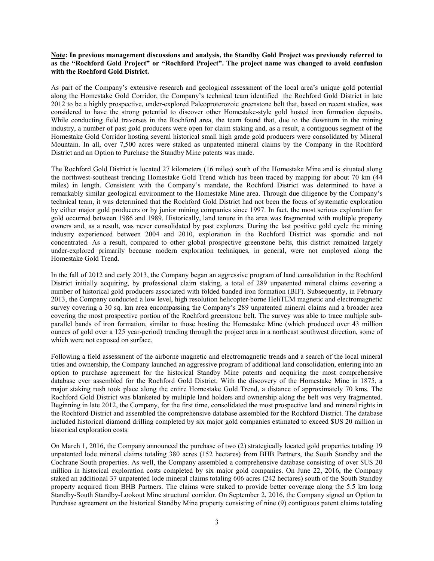# Note: In previous management discussions and analysis, the Standby Gold Project was previously referred to as the "Rochford Gold Project" or "Rochford Project". The project name was changed to avoid confusion with the Rochford Gold District.

As part of the Company's extensive research and geological assessment of the local area's unique gold potential along the Homestake Gold Corridor, the Company's technical team identified the Rochford Gold District in late 2012 to be a highly prospective, under-explored Paleoproterozoic greenstone belt that, based on recent studies, was considered to have the strong potential to discover other Homestake-style gold hosted iron formation deposits. While conducting field traverses in the Rochford area, the team found that, due to the downturn in the mining industry, a number of past gold producers were open for claim staking and, as a result, a contiguous segment of the Homestake Gold Corridor hosting several historical small high grade gold producers were consolidated by Mineral Mountain. In all, over 7,500 acres were staked as unpatented mineral claims by the Company in the Rochford District and an Option to Purchase the Standby Mine patents was made.

The Rochford Gold District is located 27 kilometers (16 miles) south of the Homestake Mine and is situated along the northwest-southeast trending Homestake Gold Trend which has been traced by mapping for about 70 km (44 miles) in length. Consistent with the Company's mandate, the Rochford District was determined to have a remarkably similar geological environment to the Homestake Mine area. Through due diligence by the Company's technical team, it was determined that the Rochford Gold District had not been the focus of systematic exploration by either major gold producers or by junior mining companies since 1997. In fact, the most serious exploration for gold occurred between 1986 and 1989. Historically, land tenure in the area was fragmented with multiple property owners and, as a result, was never consolidated by past explorers. During the last positive gold cycle the mining industry experienced between 2004 and 2010, exploration in the Rochford District was sporadic and not concentrated. As a result, compared to other global prospective greenstone belts, this district remained largely under-explored primarily because modern exploration techniques, in general, were not employed along the Homestake Gold Trend.

In the fall of 2012 and early 2013, the Company began an aggressive program of land consolidation in the Rochford District initially acquiring, by professional claim staking, a total of 289 unpatented mineral claims covering a number of historical gold producers associated with folded banded iron formation (BIF). Subsequently, in February 2013, the Company conducted a low level, high resolution helicopter-borne HeliTEM magnetic and electromagnetic survey covering a 30 sq. km area encompassing the Company's 289 unpatented mineral claims and a broader area covering the most prospective portion of the Rochford greenstone belt. The survey was able to trace multiple subparallel bands of iron formation, similar to those hosting the Homestake Mine (which produced over 43 million ounces of gold over a 125 year-period) trending through the project area in a northeast southwest direction, some of which were not exposed on surface.

Following a field assessment of the airborne magnetic and electromagnetic trends and a search of the local mineral titles and ownership, the Company launched an aggressive program of additional land consolidation, entering into an option to purchase agreement for the historical Standby Mine patents and acquiring the most comprehensive database ever assembled for the Rochford Gold District. With the discovery of the Homestake Mine in 1875, a major staking rush took place along the entire Homestake Gold Trend, a distance of approximately 70 kms. The Rochford Gold District was blanketed by multiple land holders and ownership along the belt was very fragmented. Beginning in late 2012, the Company, for the first time, consolidated the most prospective land and mineral rights in the Rochford District and assembled the comprehensive database assembled for the Rochford District. The database included historical diamond drilling completed by six major gold companies estimated to exceed \$US 20 million in historical exploration costs.

On March 1, 2016, the Company announced the purchase of two (2) strategically located gold properties totaling 19 unpatented lode mineral claims totaling 380 acres (152 hectares) from BHB Partners, the South Standby and the Cochrane South properties. As well, the Company assembled a comprehensive database consisting of over \$US 20 million in historical exploration costs completed by six major gold companies. On June 22, 2016, the Company staked an additional 37 unpatented lode mineral claims totaling 606 acres (242 hectares) south of the South Standby property acquired from BHB Partners. The claims were staked to provide better coverage along the 5.5 km long Standby-South Standby-Lookout Mine structural corridor. On September 2, 2016, the Company signed an Option to Purchase agreement on the historical Standby Mine property consisting of nine (9) contiguous patent claims totaling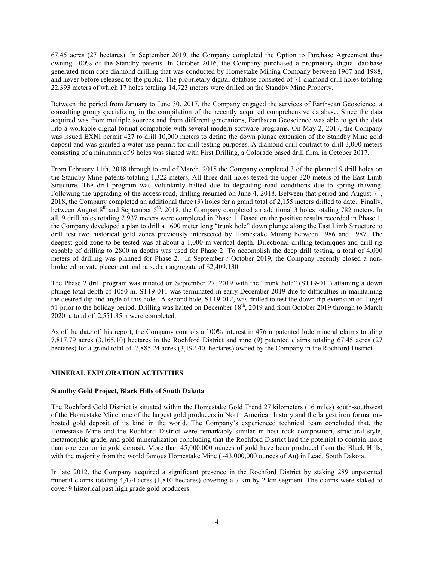67.45 acres (27 hectares). In September 2019, the Company completed the Option to Purchase Agreement thus owning 100% of the Standby patents. In October 2016, the Company purchased a proprietary digital database generated from core diamond drilling that was conducted by Homestake Mining Company between 1967 and 1988, and never before released to the public. The proprietary digital database consisted of 71 diamond drill holes totaling 22,393 meters of which 17 holes totaling 14,723 meters were drilled on the Standby Mine Property.

Between the period from January to June 30, 2017, the Company engaged the services of Earthscan Geoscience, a consulting group specializing in the compilation of the recently acquired comprehensive database. Since the data acquired was from multiple sources and from different generations, Earthscan Geoscience was able to get the data into a workable digital format compatible with several modern software programs. On May 2, 2017, the Company was issued EXNI permit 427 to drill 10,000 meters to define the down plunge extension of the Standby Mine gold deposit and was granted a water use permit for drill testing purposes. A diamond drill contract to drill 3,000 meters consisting of a minimum of 9 holes was signed with First Drilling, a Colorado based drill firm, in October 2017.

From February 11th, 2018 through to end of March, 2018 the Company completed 3 of the planned 9 drill holes on the Standby Mine patents totaling 1,322 meters, All three drill holes tested the upper 320 meters of the East Limb Structure. The drill program was voluntarily halted due to degrading road conditions due to spring thawing. Following the upgrading of the access road, drilling resumed on June 4, 2018. Between that period and August  $7^{\text{th}}$ , 2018, the Company completed an additional three (3) holes for a grand total of 2,155 meters drilled to date. Finally, between August 8<sup>th</sup> and September 5<sup>th</sup>, 2018, the Company completed an additional 3 holes totaling 782 meters. In all, 9 drill holes totaling 2,937 meters were completed in Phase 1. Based on the positive results recorded in Phase 1, the Company developed a plan to drill a 1600 meter long "trunk hole" down plunge along the East Limb Structure to drill test two historical gold zones previously intersected by Homestake Mining between 1986 and 1987. The deepest gold zone to be tested was at about a 1,000 m veritcal depth. Directional drilling techniques and drill rig capable of drilling to 2800 m depths was used for Phase 2. To accomplish the deep drill testing, a total of 4,000 meters of drilling was planned for Phase 2. In September / October 2019, the Company recently closed a nonbrokered private placement and raised an aggregate of \$2,409,130.

The Phase 2 drill program was intiated on September 27, 2019 with the "trunk hole" (ST19-011) attaining a down plunge total depth of 1050 m. ST19-011 was terminated in early December 2019 due to difficulties in maintaining the desired dip and angle of this hole. A second hole, ST19-012, was drilled to test the down dip extension of Target #1 prior to the holiday period. Drilling was halted on December  $18<sup>th</sup>$ , 2019 and from October 2019 through to March 2020 a total of 2,551.35m were completed.

As of the date of this report, the Company controls a 100% interest in 476 unpatented lode mineral claims totaling 7,817.79 acres (3,165.10) hectares in the Rochford District and nine (9) patented claims totaling 67.45 acres (27 hectares) for a grand total of 7,885.24 acres (3,192.40 hectares) owned by the Company in the Rochford District.

# MINERAL EXPLORATION ACTIVITIES

### Standby Gold Project, Black Hills of South Dakota

The Rochford Gold District is situated within the Homestake Gold Trend 27 kilometers (16 miles) south-southwest of the Homestake Mine, one of the largest gold producers in North American history and the largest iron formationhosted gold deposit of its kind in the world. The Company's experienced technical team concluded that, the Homestake Mine and the Rochford District were remarkably similar in host rock composition, structural style, metamorphic grade, and gold mineralization concluding that the Rochford District had the potential to contain more than one economic gold deposit. More than 45,000,000 ounces of gold have been produced from the Black Hills, with the majority from the world famous Homestake Mine (~43,000,000 ounces of Au) in Lead, South Dakota.

In late 2012, the Company acquired a significant presence in the Rochford District by staking 289 unpatented mineral claims totaling 4,474 acres (1,810 hectares) covering a 7 km by 2 km segment. The claims were staked to cover 9 historical past high grade gold producers.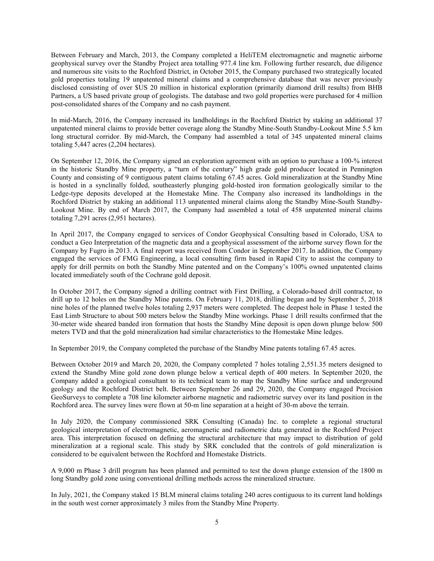Between February and March, 2013, the Company completed a HeliTEM electromagnetic and magnetic airborne geophysical survey over the Standby Project area totalling 977.4 line km. Following further research, due diligence and numerous site visits to the Rochford District, in October 2015, the Company purchased two strategically located gold properties totaling 19 unpatented mineral claims and a comprehensive database that was never previously disclosed consisting of over \$US 20 million in historical exploration (primarily diamond drill results) from BHB Partners, a US based private group of geologists. The database and two gold properties were purchased for 4 million post-consolidated shares of the Company and no cash payment.

In mid-March, 2016, the Company increased its landholdings in the Rochford District by staking an additional 37 unpatented mineral claims to provide better coverage along the Standby Mine-South Standby-Lookout Mine 5.5 km long structural corridor. By mid-March, the Company had assembled a total of 345 unpatented mineral claims totaling 5,447 acres (2,204 hectares).

On September 12, 2016, the Company signed an exploration agreement with an option to purchase a 100-% interest in the historic Standby Mine property, a "turn of the century" high grade gold producer located in Pennington County and consisting of 9 contiguous patent claims totaling 67.45 acres. Gold mineralization at the Standby Mine is hosted in a synclinally folded, southeasterly plunging gold-hosted iron formation geologically similar to the Ledge-type deposits developed at the Homestake Mine. The Company also increased its landholdings in the Rochford District by staking an additional 113 unpatented mineral claims along the Standby Mine-South Standby-Lookout Mine. By end of March 2017, the Company had assembled a total of 458 unpatented mineral claims totaling 7,291 acres (2,951 hectares).

In April 2017, the Company engaged to services of Condor Geophysical Consulting based in Colorado, USA to conduct a Geo Interpretation of the magnetic data and a geophysical assessment of the airborne survey flown for the Company by Fugro in 2013. A final report was received from Condor in September 2017. In addition, the Company engaged the services of FMG Engineering, a local consulting firm based in Rapid City to assist the company to apply for drill permits on both the Standby Mine patented and on the Company's 100% owned unpatented claims located immediately south of the Cochrane gold deposit.

In October 2017, the Company signed a drilling contract with First Drilling, a Colorado-based drill contractor, to drill up to 12 holes on the Standby Mine patents. On February 11, 2018, drilling began and by September 5, 2018 nine holes of the planned twelve holes totaling 2,937 meters were completed. The deepest hole in Phase 1 tested the East Limb Structure to about 500 meters below the Standby Mine workings. Phase 1 drill results confirmed that the 30-meter wide sheared banded iron formation that hosts the Standby Mine deposit is open down plunge below 500 meters TVD and that the gold mineralization had similar characteristics to the Homestake Mine ledges.

In September 2019, the Company completed the purchase of the Standby Mine patents totaling 67.45 acres.

Between October 2019 and March 20, 2020, the Company completed 7 holes totaling 2,551.35 meters designed to extend the Standby Mine gold zone down plunge below a vertical depth of 400 meters. In September 2020, the Company added a geological consultant to its technical team to map the Standby Mine surface and underground geology and the Rochford District belt. Between September 26 and 29, 2020, the Company engaged Precision GeoSurveys to complete a 708 line kilometer airborne magnetic and radiometric survey over its land position in the Rochford area. The survey lines were flown at 50-m line separation at a height of 30-m above the terrain.

In July 2020, the Company commissioned SRK Consulting (Canada) Inc. to complete a regional structural geological interpretation of electromagnetic, aeromagnetic and radiometric data generated in the Rochford Project area. This interpretation focused on defining the structural architecture that may impact to distribution of gold mineralization at a regional scale. This study by SRK concluded that the controls of gold mineralization is considered to be equivalent between the Rochford and Homestake Districts.

A 9,000 m Phase 3 drill program has been planned and permitted to test the down plunge extension of the 1800 m long Standby gold zone using conventional drilling methods across the mineralized structure.

In July, 2021, the Company staked 15 BLM mineral claims totaling 240 acres contiguous to its current land holdings in the south west corner approximately 3 miles from the Standby Mine Property.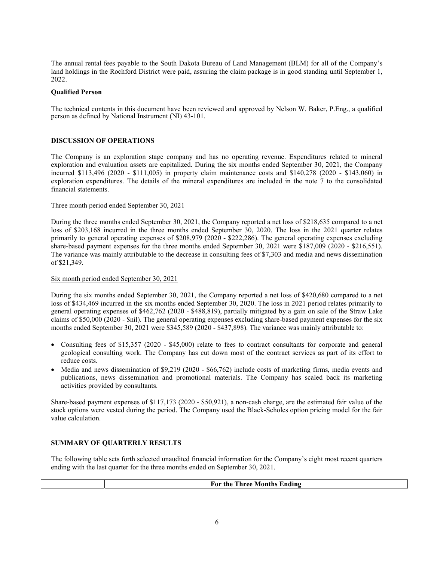The annual rental fees payable to the South Dakota Bureau of Land Management (BLM) for all of the Company's land holdings in the Rochford District were paid, assuring the claim package is in good standing until September 1, 2022.

# Qualified Person

The technical contents in this document have been reviewed and approved by Nelson W. Baker, P.Eng., a qualified person as defined by National Instrument (NI) 43-101.

# DISCUSSION OF OPERATIONS

The Company is an exploration stage company and has no operating revenue. Expenditures related to mineral exploration and evaluation assets are capitalized. During the six months ended September 30, 2021, the Company incurred \$113,496 (2020 - \$111,005) in property claim maintenance costs and \$140,278 (2020 - \$143,060) in exploration expenditures. The details of the mineral expenditures are included in the note 7 to the consolidated financial statements.

### Three month period ended September 30, 2021

During the three months ended September 30, 2021, the Company reported a net loss of \$218,635 compared to a net loss of \$203,168 incurred in the three months ended September 30, 2020. The loss in the 2021 quarter relates primarily to general operating expenses of \$208,979 (2020 - \$222,286). The general operating expenses excluding share-based payment expenses for the three months ended September 30, 2021 were \$187,009 (2020 - \$216,551). The variance was mainly attributable to the decrease in consulting fees of \$7,303 and media and news dissemination of \$21,349.

# Six month period ended September 30, 2021

During the six months ended September 30, 2021, the Company reported a net loss of \$420,680 compared to a net loss of \$434,469 incurred in the six months ended September 30, 2020. The loss in 2021 period relates primarily to general operating expenses of \$462,762 (2020 - \$488,819), partially mitigated by a gain on sale of the Straw Lake claims of \$50,000 (2020 - \$nil). The general operating expenses excluding share-based payment expenses for the six months ended September 30, 2021 were \$345,589 (2020 - \$437,898). The variance was mainly attributable to:

- Consulting fees of \$15,357 (2020 \$45,000) relate to fees to contract consultants for corporate and general geological consulting work. The Company has cut down most of the contract services as part of its effort to reduce costs.
- Media and news dissemination of \$9,219 (2020 \$66,762) include costs of marketing firms, media events and publications, news dissemination and promotional materials. The Company has scaled back its marketing activities provided by consultants.

Share-based payment expenses of \$117,173 (2020 - \$50,921), a non-cash charge, are the estimated fair value of the stock options were vested during the period. The Company used the Black-Scholes option pricing model for the fair value calculation.

### SUMMARY OF QUARTERLY RESULTS

The following table sets forth selected unaudited financial information for the Company's eight most recent quarters ending with the last quarter for the three months ended on September 30, 2021.

For the Three Months Ending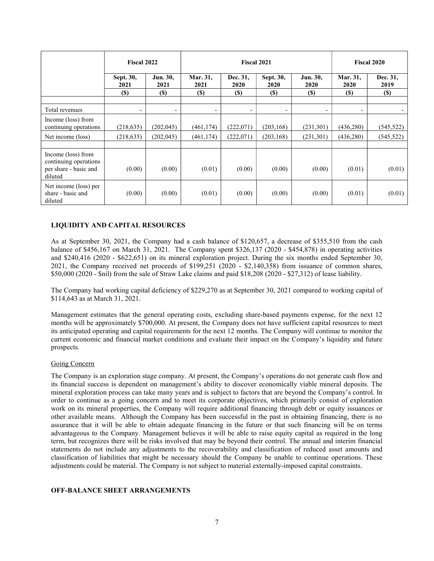|                                                                                 | <b>Fiscal 2022</b>       |                          | <b>Fiscal 2021</b> |                  |                          |                          | <b>Fiscal 2020</b>       |                  |
|---------------------------------------------------------------------------------|--------------------------|--------------------------|--------------------|------------------|--------------------------|--------------------------|--------------------------|------------------|
|                                                                                 | Sept. 30,<br>2021        | Jun. 30,<br>2021         | Mar. 31,<br>2021   | Dec. 31,<br>2020 | Sept. 30,<br>2020        | Jun. 30,<br>2020         | Mar. 31,<br>2020         | Dec. 31,<br>2019 |
|                                                                                 | <b>(\$)</b>              | <b>(\$)</b>              | <b>(\$)</b>        | <b>(\$)</b>      | (S)                      | <b>(\$)</b>              | (S)                      | $(\$)$           |
| Total revenues                                                                  | $\overline{\phantom{a}}$ | $\overline{\phantom{a}}$ | ٠                  | ٠                | $\overline{\phantom{a}}$ | $\overline{\phantom{a}}$ | $\overline{\phantom{a}}$ |                  |
| Income (loss) from<br>continuing operations                                     | (218, 635)               | (202, 045)               | (461, 174)         | (222,071)        | (203, 168)               | (231,301)                | (436, 280)               | (545, 522)       |
| Net income (loss)                                                               | (218, 635)               | (202, 045)               | (461, 174)         | (222,071)        | (203, 168)               | (231,301)                | (436, 280)               | (545, 522)       |
| Income (loss) from<br>continuing operations<br>per share - basic and<br>diluted | (0.00)                   | (0.00)                   | (0.01)             | (0.00)           | (0.00)                   | (0.00)                   | (0.01)                   | (0.01)           |
| Net income (loss) per<br>share - basic and<br>diluted                           | (0.00)                   | (0.00)                   | (0.01)             | (0.00)           | (0.00)                   | (0.00)                   | (0.01)                   | (0.01)           |

# LIQUIDITY AND CAPITAL RESOURCES

As at September 30, 2021, the Company had a cash balance of \$120,657, a decrease of \$355,510 from the cash balance of \$456,167 on March 31, 2021. The Company spent \$326,137 (2020 - \$454,878) in operating activities and \$240,416 (2020 - \$622,651) on its mineral exploration project. During the six months ended September 30, 2021, the Company received net proceeds of \$199,251 (2020 - \$2,140,358) from issuance of common shares, \$50,000 (2020 - \$nil) from the sale of Straw Lake claims and paid \$18,208 (2020 - \$27,312) of lease liability.

The Company had working capital deficiency of \$229,270 as at September 30, 2021 compared to working capital of \$114,643 as at March 31, 2021.

Management estimates that the general operating costs, excluding share-based payments expense, for the next 12 months will be approximately \$700,000. At present, the Company does not have sufficient capital resources to meet its anticipated operating and capital requirements for the next 12 months. The Company will continue to monitor the current economic and financial market conditions and evaluate their impact on the Company's liquidity and future prospects.

# Going Concern

The Company is an exploration stage company. At present, the Company's operations do not generate cash flow and its financial success is dependent on management's ability to discover economically viable mineral deposits. The mineral exploration process can take many years and is subject to factors that are beyond the Company's control. In order to continue as a going concern and to meet its corporate objectives, which primarily consist of exploration work on its mineral properties, the Company will require additional financing through debt or equity issuances or other available means. Although the Company has been successful in the past in obtaining financing, there is no assurance that it will be able to obtain adequate financing in the future or that such financing will be on terms advantageous to the Company. Management believes it will be able to raise equity capital as required in the long term, but recognizes there will be risks involved that may be beyond their control. The annual and interim financial statements do not include any adjustments to the recoverability and classification of reduced asset amounts and classification of liabilities that might be necessary should the Company be unable to continue operations. These adjustments could be material. The Company is not subject to material externally-imposed capital constraints.

# OFF-BALANCE SHEET ARRANGEMENTS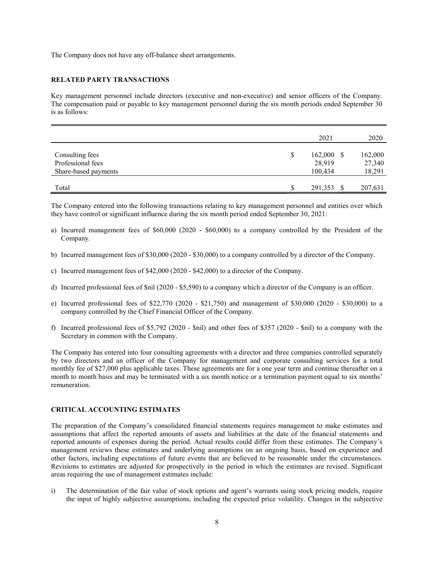The Company does not have any off-balance sheet arrangements.

# RELATED PARTY TRANSACTIONS

Key management personnel include directors (executive and non-executive) and senior officers of the Company. The compensation paid or payable to key management personnel during the six month periods ended September 30 is as follows:

|                                                              |               | 2021                              | 2020                        |
|--------------------------------------------------------------|---------------|-----------------------------------|-----------------------------|
| Consulting fees<br>Professional fees<br>Share-based payments | <sup>\$</sup> | $162,000$ \$<br>28,919<br>100,434 | 162,000<br>27,340<br>18,291 |
| Total                                                        | <b>S</b>      | 291,353 \$                        | 207,631                     |

The Company entered into the following transactions relating to key management personnel and entities over which they have control or significant influence during the six month period ended September 30, 2021:

- a) Incurred management fees of \$60,000 (2020 \$60,000) to a company controlled by the President of the Company.
- b) Incurred management fees of \$30,000 (2020 \$30,000) to a company controlled by a director of the Company.
- c) Incurred management fees of \$42,000 (2020 \$42,000) to a director of the Company.
- d) Incurred professional fees of \$nil (2020 \$5,590) to a company which a director of the Company is an officer.
- e) Incurred professional fees of \$22,770 (2020 \$21,750) and management of \$30,000 (2020 \$30,000) to a company controlled by the Chief Financial Officer of the Company.
- f) Incurred professional fees of \$5,792 (2020 \$nil) and other fees of \$357 (2020 \$nil) to a company with the Secretary in common with the Company.

The Company has entered into four consulting agreements with a director and three companies controlled separately by two directors and an officer of the Company for management and corporate consulting services for a total monthly fee of \$27,000 plus applicable taxes. These agreements are for a one year term and continue thereafter on a month to month basis and may be terminated with a six month notice or a termination payment equal to six months' remuneration.

### CRITICAL ACCOUNTING ESTIMATES

The preparation of the Company's consolidated financial statements requires management to make estimates and assumptions that affect the reported amounts of assets and liabilities at the date of the financial statements and reported amounts of expenses during the period. Actual results could differ from these estimates. The Company's management reviews these estimates and underlying assumptions on an ongoing basis, based on experience and other factors, including expectations of future events that are believed to be reasonable under the circumstances. Revisions to estimates are adjusted for prospectively in the period in which the estimates are revised. Significant areas requiring the use of management estimates include:

i) The determination of the fair value of stock options and agent's warrants using stock pricing models, require the input of highly subjective assumptions, including the expected price volatility. Changes in the subjective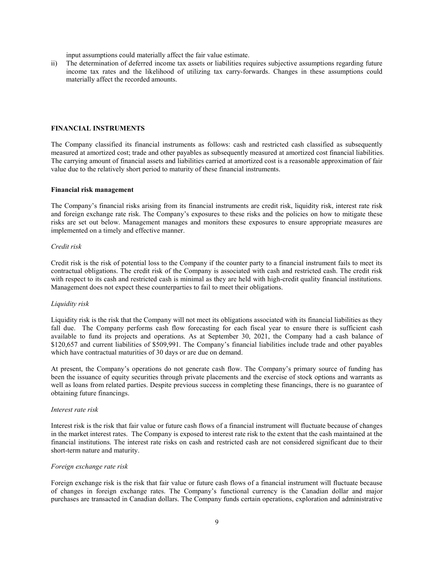input assumptions could materially affect the fair value estimate.

ii) The determination of deferred income tax assets or liabilities requires subjective assumptions regarding future income tax rates and the likelihood of utilizing tax carry-forwards. Changes in these assumptions could materially affect the recorded amounts.

#### FINANCIAL INSTRUMENTS

The Company classified its financial instruments as follows: cash and restricted cash classified as subsequently measured at amortized cost; trade and other payables as subsequently measured at amortized cost financial liabilities. The carrying amount of financial assets and liabilities carried at amortized cost is a reasonable approximation of fair value due to the relatively short period to maturity of these financial instruments.

#### Financial risk management

The Company's financial risks arising from its financial instruments are credit risk, liquidity risk, interest rate risk and foreign exchange rate risk. The Company's exposures to these risks and the policies on how to mitigate these risks are set out below. Management manages and monitors these exposures to ensure appropriate measures are implemented on a timely and effective manner.

#### Credit risk

Credit risk is the risk of potential loss to the Company if the counter party to a financial instrument fails to meet its contractual obligations. The credit risk of the Company is associated with cash and restricted cash. The credit risk with respect to its cash and restricted cash is minimal as they are held with high-credit quality financial institutions. Management does not expect these counterparties to fail to meet their obligations.

# Liquidity risk

Liquidity risk is the risk that the Company will not meet its obligations associated with its financial liabilities as they fall due. The Company performs cash flow forecasting for each fiscal year to ensure there is sufficient cash available to fund its projects and operations. As at September 30, 2021, the Company had a cash balance of \$120,657 and current liabilities of \$509,991. The Company's financial liabilities include trade and other payables which have contractual maturities of 30 days or are due on demand.

At present, the Company's operations do not generate cash flow. The Company's primary source of funding has been the issuance of equity securities through private placements and the exercise of stock options and warrants as well as loans from related parties. Despite previous success in completing these financings, there is no guarantee of obtaining future financings.

#### Interest rate risk

Interest risk is the risk that fair value or future cash flows of a financial instrument will fluctuate because of changes in the market interest rates. The Company is exposed to interest rate risk to the extent that the cash maintained at the financial institutions. The interest rate risks on cash and restricted cash are not considered significant due to their short-term nature and maturity.

### Foreign exchange rate risk

Foreign exchange risk is the risk that fair value or future cash flows of a financial instrument will fluctuate because of changes in foreign exchange rates. The Company's functional currency is the Canadian dollar and major purchases are transacted in Canadian dollars. The Company funds certain operations, exploration and administrative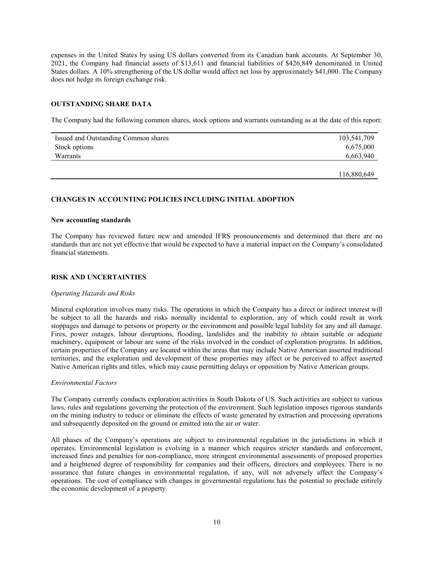expenses in the United States by using US dollars converted from its Canadian bank accounts. At September 30, 2021, the Company had financial assets of \$13,611 and financial liabilities of \$426,849 denominated in United States dollars. A 10% strengthening of the US dollar would affect net loss by approximately \$41,000. The Company does not hedge its foreign exchange risk.

# OUTSTANDING SHARE DATA

The Company had the following common shares, stock options and warrants outstanding as at the date of this report:

| Issued and Outstanding Common shares | 103,541,709 |
|--------------------------------------|-------------|
| Stock options                        | 6,675,000   |
| Warrants                             | 6,663,940   |
|                                      |             |
|                                      | 116,880,649 |

#### CHANGES IN ACCOUNTING POLICIES INCLUDING INITIAL ADOPTION

#### New accounting standards

The Company has reviewed future new and amended IFRS pronouncements and determined that there are no standards that are not yet effective that would be expected to have a material impact on the Company's consolidated financial statements.

### RISK AND UNCERTAINTIES

#### Operating Hazards and Risks

Mineral exploration involves many risks. The operations in which the Company has a direct or indirect interest will be subject to all the hazards and risks normally incidental to exploration, any of which could result in work stoppages and damage to persons or property or the environment and possible legal liability for any and all damage. Fires, power outages, labour disruptions, flooding, landslides and the inability to obtain suitable or adequate machinery, equipment or labour are some of the risks involved in the conduct of exploration programs. In addition, certain properties of the Company are located within the areas that may include Native American asserted traditional territories, and the exploration and development of these properties may affect or be perceived to affect asserted Native American rights and titles, which may cause permitting delays or opposition by Native American groups.

#### Environmental Factors

The Company currently conducts exploration activities in South Dakota of US. Such activities are subject to various laws, rules and regulations governing the protection of the environment. Such legislation imposes rigorous standards on the mining industry to reduce or eliminate the effects of waste generated by extraction and processing operations and subsequently deposited on the ground or emitted into the air or water.

All phases of the Company's operations are subject to environmental regulation in the jurisdictions in which it operates. Environmental legislation is evolving in a manner which requires stricter standards and enforcement, increased fines and penalties for non-compliance, more stringent environmental assessments of proposed properties and a heightened degree of responsibility for companies and their officers, directors and employees. There is no assurance that future changes in environmental regulation, if any, will not adversely affect the Company's operations. The cost of compliance with changes in governmental regulations has the potential to preclude entirely the economic development of a property.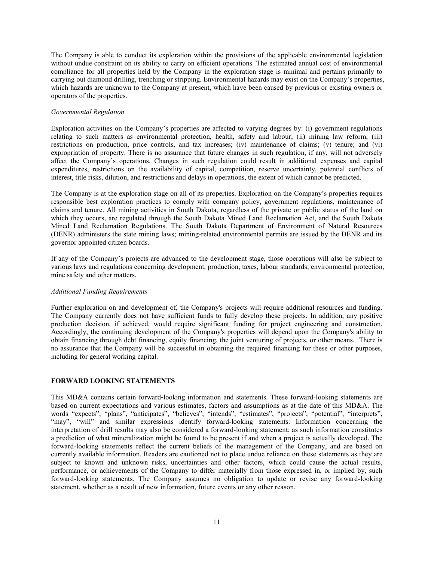The Company is able to conduct its exploration within the provisions of the applicable environmental legislation without undue constraint on its ability to carry on efficient operations. The estimated annual cost of environmental compliance for all properties held by the Company in the exploration stage is minimal and pertains primarily to carrying out diamond drilling, trenching or stripping. Environmental hazards may exist on the Company's properties, which hazards are unknown to the Company at present, which have been caused by previous or existing owners or operators of the properties.

# Governmental Regulation

Exploration activities on the Company's properties are affected to varying degrees by: (i) government regulations relating to such matters as environmental protection, health, safety and labour; (ii) mining law reform; (iii) restrictions on production, price controls, and tax increases; (iv) maintenance of claims; (v) tenure; and (vi) expropriation of property. There is no assurance that future changes in such regulation, if any, will not adversely affect the Company's operations. Changes in such regulation could result in additional expenses and capital expenditures, restrictions on the availability of capital, competition, reserve uncertainty, potential conflicts of interest, title risks, dilution, and restrictions and delays in operations, the extent of which cannot be predicted.

The Company is at the exploration stage on all of its properties. Exploration on the Company's properties requires responsible best exploration practices to comply with company policy, government regulations, maintenance of claims and tenure. All mining activities in South Dakota, regardless of the private or public status of the land on which they occurs, are regulated through the South Dakota Mined Land Reclamation Act, and the South Dakota Mined Land Reclamation Regulations. The South Dakota Department of Environment of Natural Resources (DENR) administers the state mining laws; mining-related environmental permits are issued by the DENR and its governor appointed citizen boards.

If any of the Company's projects are advanced to the development stage, those operations will also be subject to various laws and regulations concerning development, production, taxes, labour standards, environmental protection, mine safety and other matters.

### Additional Funding Requirements

Further exploration on and development of, the Company's projects will require additional resources and funding. The Company currently does not have sufficient funds to fully develop these projects. In addition, any positive production decision, if achieved, would require significant funding for project engineering and construction. Accordingly, the continuing development of the Company's properties will depend upon the Company's ability to obtain financing through debt financing, equity financing, the joint venturing of projects, or other means. There is no assurance that the Company will be successful in obtaining the required financing for these or other purposes, including for general working capital.

# FORWARD LOOKING STATEMENTS

This MD&A contains certain forward-looking information and statements. These forward-looking statements are based on current expectations and various estimates, factors and assumptions as at the date of this MD&A. The words "expects", "plans", "anticipates", "believes", "intends", "estimates", "projects", "potential", "interprets", "may", "will" and similar expressions identify forward-looking statements. Information concerning the interpretation of drill results may also be considered a forward-looking statement; as such information constitutes a prediction of what mineralization might be found to be present if and when a project is actually developed. The forward-looking statements reflect the current beliefs of the management of the Company, and are based on currently available information. Readers are cautioned not to place undue reliance on these statements as they are subject to known and unknown risks, uncertainties and other factors, which could cause the actual results, performance, or achievements of the Company to differ materially from those expressed in, or implied by, such forward-looking statements. The Company assumes no obligation to update or revise any forward-looking statement, whether as a result of new information, future events or any other reason.